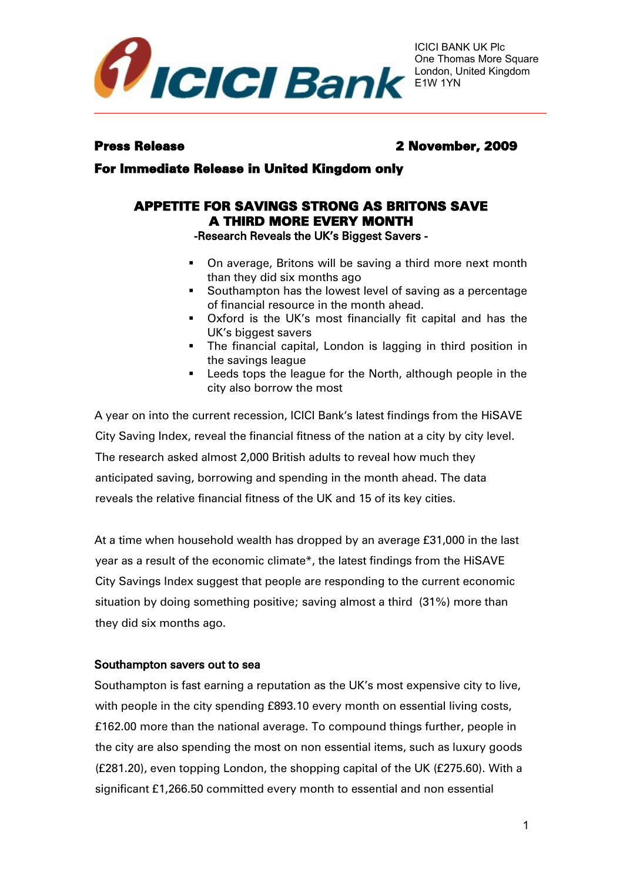

# Press Release 2 November, 2009

For Immediate Release in United Kingdom only

# APPETITE FOR SAVINGS STRONG AS BRITONS SAVE A THIRD MORE EVERY MONTH

-Research Reveals the UK's Biggest Savers -

- **De Deta** on average, Britons will be saving a third more next month than they did six months ago
- **Southampton has the lowest level of saving as a percentage** of financial resource in the month ahead.
- Oxford is the UK's most financially fit capital and has the UK's biggest savers
- **The financial capital, London is lagging in third position in** the savings league
- **EXELGE 1** Leeds tops the league for the North, although people in the city also borrow the most

A year on into the current recession, ICICI Bank's latest findings from the HiSAVE City Saving Index, reveal the financial fitness of the nation at a city by city level. The research asked almost 2,000 British adults to reveal how much they anticipated saving, borrowing and spending in the month ahead. The data reveals the relative financial fitness of the UK and 15 of its key cities.

At a time when household wealth has dropped by an average £31,000 in the last year as a result of the economic climate\*, the latest findings from the HiSAVE City Savings Index suggest that people are responding to the current economic situation by doing something positive; saving almost a third (31%) more than they did six months ago.

# Southampton savers out to sea

Southampton is fast earning a reputation as the UK's most expensive city to live, with people in the city spending £893.10 every month on essential living costs, £162.00 more than the national average. To compound things further, people in the city are also spending the most on non essential items, such as luxury goods (£281.20), even topping London, the shopping capital of the UK (£275.60). With a significant £1,266.50 committed every month to essential and non essential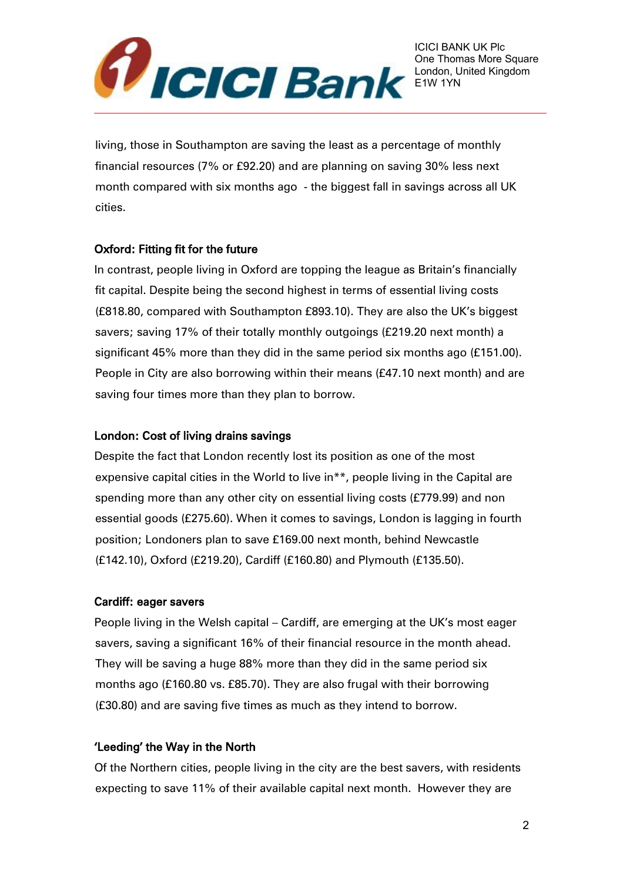

living, those in Southampton are saving the least as a percentage of monthly financial resources (7% or £92.20) and are planning on saving 30% less next month compared with six months ago - the biggest fall in savings across all UK cities.

# Oxford: Fitting fit for the future

In contrast, people living in Oxford are topping the league as Britain's financially fit capital. Despite being the second highest in terms of essential living costs (£818.80, compared with Southampton £893.10). They are also the UK's biggest savers; saving 17% of their totally monthly outgoings (£219.20 next month) a significant 45% more than they did in the same period six months ago (£151.00). People in City are also borrowing within their means (£47.10 next month) and are saving four times more than they plan to borrow.

# London: Cost of living drains savings

Despite the fact that London recently lost its position as one of the most expensive capital cities in the World to live in<sup>\*\*</sup>, people living in the Capital are spending more than any other city on essential living costs (£779.99) and non essential goods (£275.60). When it comes to savings, London is lagging in fourth position; Londoners plan to save £169.00 next month, behind Newcastle (£142.10), Oxford (£219.20), Cardiff (£160.80) and Plymouth (£135.50).

# Cardiff: eager savers

People living in the Welsh capital – Cardiff, are emerging at the UK's most eager savers, saving a significant 16% of their financial resource in the month ahead. They will be saving a huge 88% more than they did in the same period six months ago (£160.80 vs. £85.70). They are also frugal with their borrowing (£30.80) and are saving five times as much as they intend to borrow.

# 'Leeding' the Way in the North

Of the Northern cities, people living in the city are the best savers, with residents expecting to save 11% of their available capital next month. However they are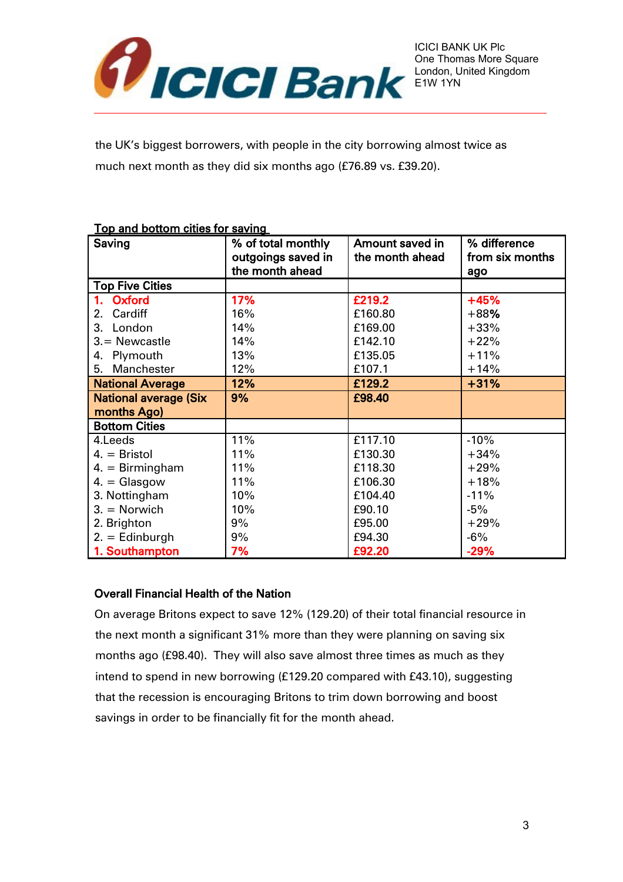

the UK's biggest borrowers, with people in the city borrowing almost twice as much next month as they did six months ago (£76.89 vs. £39.20).

#### Top and bottom cities for saving

| Saving                       | % of total monthly | Amount saved in | % difference |
|------------------------------|--------------------|-----------------|--------------|
|                              | outgoings saved in | the month ahead |              |
|                              | the month ahead    |                 | ago          |
| <b>Top Five Cities</b>       |                    |                 |              |
| Oxford                       | 17%                | £219.2          | $+45%$       |
| Cardiff<br>2.                | 16%                | £160.80         | $+88%$       |
| 3. London                    | 14%                | £169.00         | $+33%$       |
| $3 =$ Newcastle              | 14%                | £142.10         | $+22%$       |
| 4. Plymouth                  | 13%                | £135.05         | $+11%$       |
| 5. Manchester                | 12%                | £107.1          | $+14%$       |
| <b>National Average</b>      | 12%                | £129.2          | $+31%$       |
| <b>National average (Six</b> | 9%                 | £98.40          |              |
| months Ago)                  |                    |                 |              |
| <b>Bottom Cities</b>         |                    |                 |              |
| 4.Leeds                      | 11%                | £117.10         | $-10%$       |
| $4. =$ Bristol               | 11%                | £130.30         | $+34%$       |
| $4. = Birmingham$            | 11%                | £118.30         | $+29%$       |
| $4. = \frac{G}{9}$           | 11%                | £106.30         | $+18%$       |
| 3. Nottingham                | 10%                | £104.40         | $-11%$       |
| $3. =$ Norwich               | 10%                | £90.10          | $-5%$        |
| 2. Brighton                  | 9%                 | £95.00          | $+29%$       |
| $2. =$ Edinburgh             | 9%                 | £94.30          | $-6%$        |
| 1. Southampton               | 7%                 | £92.20          | $-29%$       |

# Overall Financial Health of the Nation

On average Britons expect to save 12% (129.20) of their total financial resource in the next month a significant 31% more than they were planning on saving six months ago (£98.40). They will also save almost three times as much as they intend to spend in new borrowing (£129.20 compared with £43.10), suggesting that the recession is encouraging Britons to trim down borrowing and boost savings in order to be financially fit for the month ahead.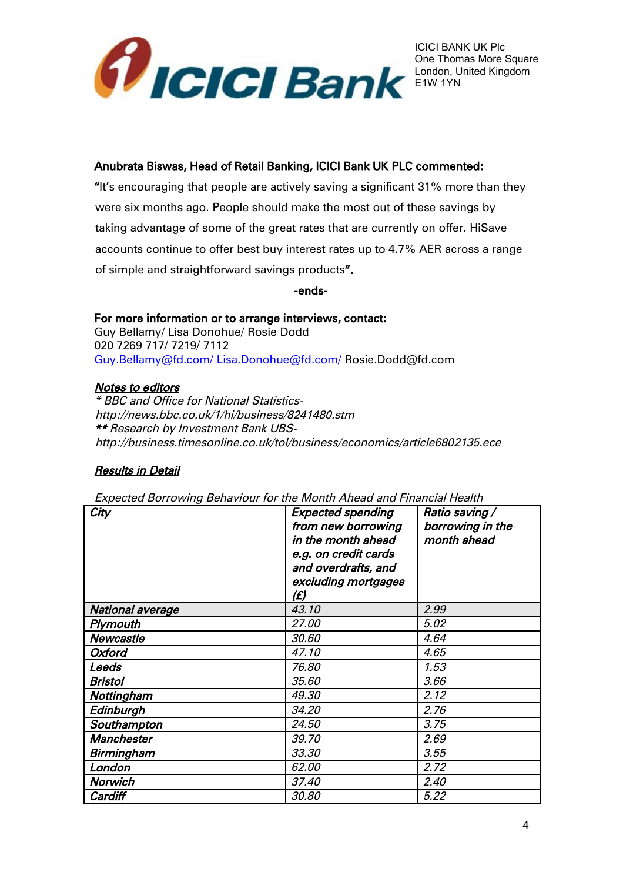

#### Anubrata Biswas, Head of Retail Banking, ICICI Bank UK PLC commented:

"It's encouraging that people are actively saving a significant 31% more than they were six months ago. People should make the most out of these savings by taking advantage of some of the great rates that are currently on offer. HiSave accounts continue to offer best buy interest rates up to 4.7% AER across a range of simple and straightforward savings products".

-ends-

For more information or to arrange interviews, contact: Guy Bellamy/ Lisa Donohue/ Rosie Dodd 020 7269 717/ 7219/ 7112 [Guy.Bellamy@fd.com/](mailto:Guy.Bellamy@fd.com/) [Lisa.Donohue@fd.com/](mailto:Lisa.Donohue@fd.com/) Rosie.Dodd@fd.com

### Notes to editors

\* BBC and Office for National Statisticshttp://news.bbc.co.uk/1/hi/business/8241480.stm \*\* Research by Investment Bank UBShttp://business.timesonline.co.uk/tol/business/economics/article6802135.ece

# Results in Detail

Expected Borrowing Behaviour for the Month Ahead and Financial Health

| City                    | <b>Expected spending</b><br>from new borrowing<br>in the month ahead<br>e.g. on credit cards<br>and overdrafts, and<br>excluding mortgages<br>(£) | Ratio saving /<br>borrowing in the<br>month ahead |
|-------------------------|---------------------------------------------------------------------------------------------------------------------------------------------------|---------------------------------------------------|
| <b>National average</b> | 43.10                                                                                                                                             | 2.99                                              |
| Plymouth                | 27.00                                                                                                                                             | 5.02                                              |
| Newcastle               | 30,60                                                                                                                                             | 4.64                                              |
| <b>Oxford</b>           | 47.10                                                                                                                                             | 4.65                                              |
| Leeds                   | 76.80                                                                                                                                             | 1.53                                              |
| <b>Bristol</b>          | 35,60                                                                                                                                             | 3.66                                              |
| Nottingham              | 49.30                                                                                                                                             | 2.12                                              |
| Edinburgh               | 34.20                                                                                                                                             | 2.76                                              |
| Southampton             | 24.50                                                                                                                                             | 3.75                                              |
| <b>Manchester</b>       | 39.70                                                                                                                                             | 2.69                                              |
| Birmingham              | 33.30                                                                                                                                             | 3.55                                              |
| London                  | 62.00                                                                                                                                             | 2.72                                              |
| Norwich                 | 37.40                                                                                                                                             | 2.40                                              |
| Cardiff                 | 30.80                                                                                                                                             | 5.22                                              |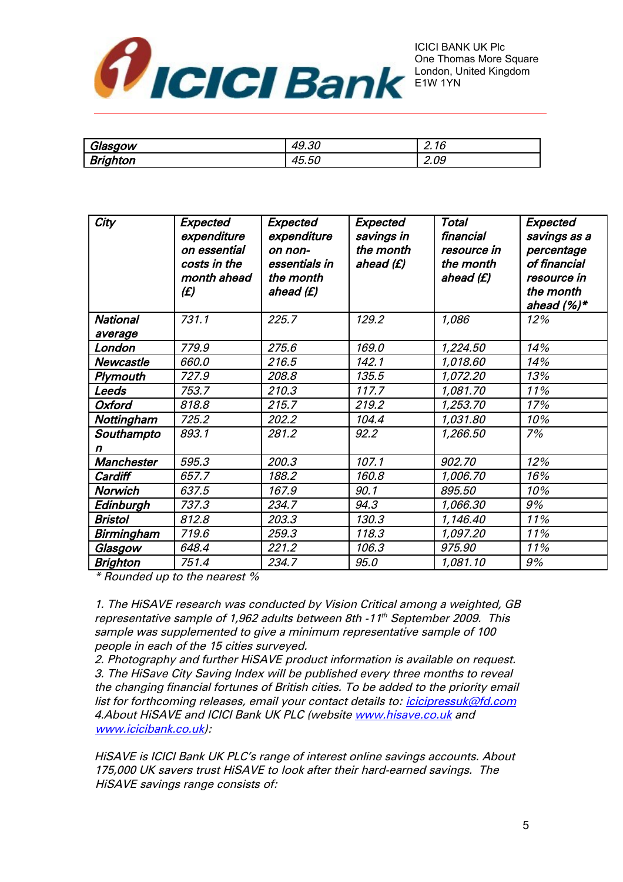

| יי<br>Glasgow         | n n<br>ЛC<br>49.OL                              | $\sim$<br>◠<br>2.10 |
|-----------------------|-------------------------------------------------|---------------------|
| ワー・ー<br>.<br>prignton | $\overline{\phantom{a}}$<br>-<br>$\mu$<br>40.OL | $\sim$<br>◠<br>Z.UY |

| City             | Expected<br>expenditure<br>on essential<br>costs in the<br>month ahead<br>(E) | Expected<br>expenditure<br>on non-<br>essentials in<br>the month<br>ahead (£) | Expected<br>savings in<br>the month<br>ahead (£) | <b>Total</b><br>financial<br>resource in<br>the month<br>ahead (£) | Expected<br>savings as a<br>percentage<br>of financial<br>resource in<br>the month<br>ahead $(%)^*$ |
|------------------|-------------------------------------------------------------------------------|-------------------------------------------------------------------------------|--------------------------------------------------|--------------------------------------------------------------------|-----------------------------------------------------------------------------------------------------|
| <b>National</b>  | 731.1                                                                         | 225.7                                                                         | 129.2                                            | 1,086                                                              | 12%                                                                                                 |
| average          |                                                                               |                                                                               |                                                  |                                                                    |                                                                                                     |
| London           | 779.9                                                                         | 275.6                                                                         | 169.0                                            | 1,224.50                                                           | 14%                                                                                                 |
| <b>Newcastle</b> | 660.0                                                                         | 216.5                                                                         | 142.1                                            | 1,018.60                                                           | 14%                                                                                                 |
| Plymouth         | 727.9                                                                         | 208.8                                                                         | 135.5                                            | 1,072.20                                                           | 13%                                                                                                 |
| Leeds            | 753.7                                                                         | 210.3                                                                         | 117.7                                            | 1,081.70                                                           | 11%                                                                                                 |
| <b>Oxford</b>    | 818.8                                                                         | 215.7                                                                         | 219.2                                            | 1,253.70                                                           | 17%                                                                                                 |
| Nottingham       | 725.2                                                                         | 202.2                                                                         | 104.4                                            | 1,031.80                                                           | 10%                                                                                                 |
| Southampto       | 893.1                                                                         | 281.2                                                                         | 92.2                                             | 1,266.50                                                           | 7%                                                                                                  |
| n                |                                                                               |                                                                               |                                                  |                                                                    |                                                                                                     |
| Manchester       | 595.3                                                                         | 200.3                                                                         | 107.1                                            | 902.70                                                             | 12%                                                                                                 |
| Cardiff          | 657.7                                                                         | 188.2                                                                         | 160.8                                            | 1,006.70                                                           | 16%                                                                                                 |
| <b>Norwich</b>   | 637.5                                                                         | 167.9                                                                         | 90.1                                             | 895,50                                                             | 10%                                                                                                 |
| Edinburgh        | 737.3                                                                         | 234.7                                                                         | 94.3                                             | 1,066.30                                                           | 9%                                                                                                  |
| <b>Bristol</b>   | 812.8                                                                         | 203.3                                                                         | 130.3                                            | 1,146.40                                                           | 11%                                                                                                 |
| Birmingham       | 719.6                                                                         | 259.3                                                                         | 118.3                                            | 1,097.20                                                           | 11%                                                                                                 |
| Glasgow          | 648.4                                                                         | 221.2                                                                         | 106.3                                            | 975.90                                                             | 11%                                                                                                 |
| <b>Brighton</b>  | 751.4                                                                         | 234.7                                                                         | 95.0                                             | 1,081.10                                                           | 9%                                                                                                  |

\* Rounded up to the nearest %

1. The HiSAVE research was conducted by Vision Critical among a weighted, GB representative sample of 1,962 adults between 8th -11th September 2009. This sample was supplemented to give a minimum representative sample of 100 people in each of the 15 cities surveyed.

2. Photography and further HiSAVE product information is available on request. 3. The HiSave City Saving Index will be published every three months to reveal the changing financial fortunes of British cities. To be added to the priority email list for forthcoming releases, email your contact details to: *icicipressuk@fd.com* 4.About HiSAVE and ICICI Bank UK PLC (website [www.hisave.co.uk](http://www.hisave.co.uk/) and [www.icicibank.co.uk\)](http://www.icicibank.co.uk/):

HiSAVE is ICICI Bank UK PLC's range of interest online savings accounts. About 175,000 UK savers trust HiSAVE to look after their hard-earned savings. The HiSAVE savings range consists of: